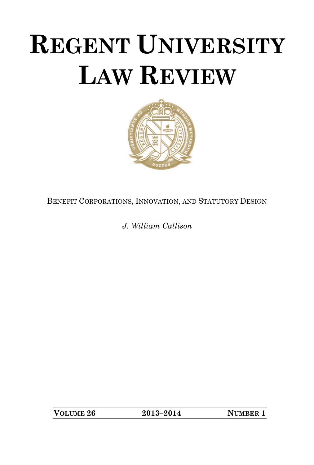# **REGENT UNIVERSITY LAW REVIEW**



BENEFIT CORPORATIONS, INNOVATION, AND STATUTORY DESIGN

*J. William Callison*

**VOLUME 26 2013–2014 NUMBER 1**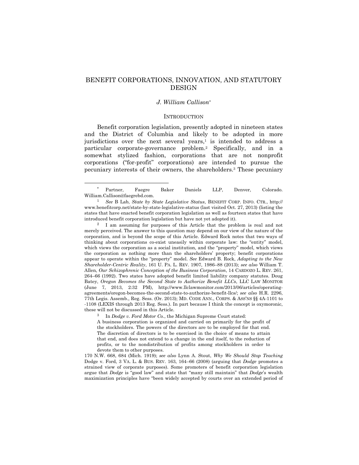# BENEFIT CORPORATIONS, INNOVATION, AND STATUTORY DESIGN

### *J. William Callison*\*

## **INTRODUCTION**

Benefit corporation legislation, presently adopted in nineteen states and the District of Columbia and likely to be adopted in more jurisdictions over the next several years, $\frac{1}{1}$  is intended to address a particular corporate-governance problem.2 Specifically, and in a somewhat stylized fashion, corporations that are not nonprofit corporations ("for-profit" corporations) are intended to pursue the pecuniary interests of their owners, the shareholders.3 These pecuniary

2 I am assuming for purposes of this Article that the problem is real and not merely perceived. The answer to this question may depend on our view of the nature of the corporation, and is beyond the scope of this Article. Edward Rock notes that two ways of thinking about corporations co-exist uneasily within corporate law: the "entity" model, which views the corporation as a social institution, and the "property" model, which views the corporation as nothing more than the shareholders' property; benefit corporations appear to operate within the "property" model. *See* Edward B. Rock, *Adapting to the New Shareholder-Centric Reality*, 161 U. PA. L. REV. 1907, 1986–88 (2013); *see also* William T. Allen, *Our Schizophrenic Conception of the Business Corporation*, 14 CARDOZO L. REV. 261, 264–66 (1992). Two states have adopted benefit limited liability company statutes. Doug Batey, *Oregon Becomes the Second State to Authorize Benefit LLCs*, LLC LAW MONITOR (June 7, 2013, 2:32 PM), http://www.llclawmonitor.com/2013/06/articles/operatingagreements/oregon-becomes-the-second-state-to-authorize-benefit-llcs/; *see also* H.R. 2296, 77th Legis. Assemb., Reg. Sess. (Or. 2013); MD. CODE ANN., CORPS. & ASS'NS §§ 4A-1101 to -1108 (LEXIS through 2013 Reg. Sess.). In part because I think the concept is oxymoronic, these will not be discussed in this Article.

3 In *Dodge v. Ford Motor Co.*, the Michigan Supreme Court stated:

A business corporation is organized and carried on primarily for the profit of the stockholders. The powers of the directors are to be employed for that end. The discretion of directors is to be exercised in the choice of means to attain that end, and does not extend to a change in the end itself, to the reduction of profits, or to the nondistribution of profits among stockholders in order to devote them to other purposes.

170 N.W. 668, 684 (Mich. 1919); *see also* Lynn A. Stout, *Why We Should Stop Teaching*  Dodge v. Ford, 3 VA. L. & BUS. REV. 163, 164–66 (2008) (arguing that *Dodge* promotes a strained view of corporate purposes). Some promoters of benefit corporation legislation argue that *Dodge* is "good law" and state that "many still maintain" that *Dodge*'s wealth maximization principles have "been widely accepted by courts over an extended period of

Partner, Faegre Baker Daniels LLP, Denver, Colorado. William.Callison@faegrebd.com.

<sup>1</sup> *See* B Lab, *State by State Legislative Status*, BENEFIT CORP. INFO. CTR., http:// www.benefitcorp.net/state-by-state-legislative-status (last visited Oct. 27, 2013) (listing the states that have enacted benefit corporation legislation as well as fourteen states that have introduced benefit corporation legislation but have not yet adopted it).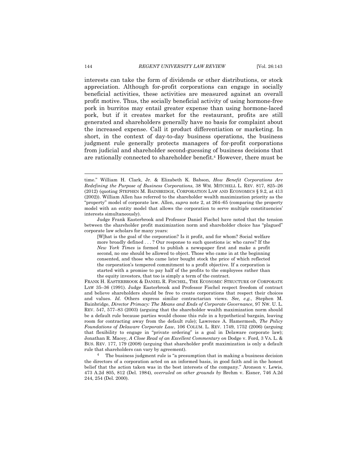interests can take the form of dividends or other distributions, or stock appreciation. Although for-profit corporations can engage in socially beneficial activities, these activities are measured against an overall profit motive. Thus, the socially beneficial activity of using hormone-free pork in burritos may entail greater expense than using hormone-laced pork, but if it creates market for the restaurant, profits are still generated and shareholders generally have no basis for complaint about the increased expense. Call it product differentiation or marketing. In short, in the context of day-to-day business operations, the business judgment rule generally protects managers of for-profit corporations from judicial and shareholder second-guessing of business decisions that are rationally connected to shareholder benefit.4 However, there must be

<u> 1989 - Johann Barn, mars ann an t-Amhain ann an t-Amhain an t-Amhain an t-Amhain an t-Amhain an t-Amhain an t-</u>

Judge Frank Easterbrook and Professor Daniel Fischel have noted that the tension between the shareholder profit maximization norm and shareholder choice has "plagued" corporate law scholars for many years:

[W]hat is the goal of the corporation? Is it profit, and for whom? Social welfare more broadly defined . . . ? Our response to such questions is: who cares? If the *New York Times* is formed to publish a newspaper first and make a profit second, no one should be allowed to object. Those who came in at the beginning consented, and those who came later bought stock the price of which reflected the corporation's tempered commitment to a profit objective. If a corporation is started with a promise to pay half of the profits to the employees rather than the equity investors, that too is simply a term of the contract.

FRANK H. EASTERBROOK & DANIEL R. FISCHEL, THE ECONOMIC STRUCTURE OF CORPORATE LAW 35–36 (1991). Judge Easterbrook and Professor Fischel respect freedom of contract and believe shareholders should be free to create corporations that respect their choices and values. *Id.* Others express similar contractarian views. *See, e.g.*, Stephen M. Bainbridge, *Director Primacy: The Means and Ends of Corporate Governance*, 97 NW. U. L. REV. 547, 577–83 (2003) (arguing that the shareholder wealth maximization norm should be a default rule because parties would choose this rule in a hypothetical bargain, leaving room for contracting away from the default rule); Lawrence A. Hamermesh, *The Policy Foundations of Delaware Corporate Law*, 106 COLUM. L. REV. 1749, 1752 (2006) (arguing that flexibility to engage in "private ordering" is a goal in Delaware corporate law); Jonathan R. Macey, *A Close Read of an Excellent Commentary on* Dodge v. Ford, 3 VA. L. & BUS. REV. 177, 179 (2008) (arguing that shareholder profit maximization is only a default rule that shareholders can vary by agreement).

<sup>4</sup> The business judgment rule is "a presumption that in making a business decision the directors of a corporation acted on an informed basis, in good faith and in the honest belief that the action taken was in the best interests of the company." Aronson v. Lewis, 473 A.2d 805, 812 (Del. 1984), *overruled on other grounds by* Brehm v. Eisner, 746 A.2d 244, 254 (Del. 2000).

time." William H. Clark, Jr. & Elizabeth K. Babson, *How Benefit Corporations Are Redefining the Purpose of Business Corporations*, 38 WM. MITCHELL L. REV. 817, 825–26 (2012) (quoting STEPHEN M. BAINBRIDGE, CORPORATION LAW AND ECONOMICS § 9.2, at 413 (2002)). William Allen has referred to the shareholder wealth maximization priority as the "property" model of corporate law. Allen, *supra* note 2, at 264–65 (comparing the property model with an entity model that allows the corporation to serve multiple constituencies' interests simultaneously).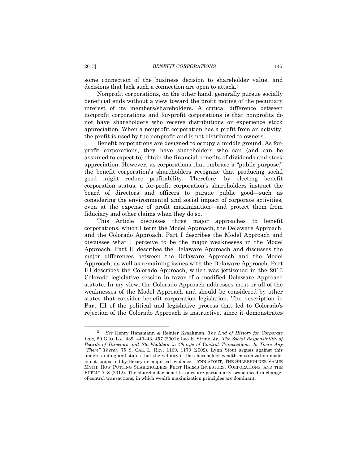some connection of the business decision to shareholder value, and decisions that lack such a connection are open to attack.<sup>5</sup>

Nonprofit corporations, on the other hand, generally pursue socially beneficial ends without a view toward the profit motive of the pecuniary interest of its members/shareholders. A critical difference between nonprofit corporations and for-profit corporations is that nonprofits do not have shareholders who receive distributions or experience stock appreciation. When a nonprofit corporation has a profit from an activity, the profit is used by the nonprofit and is not distributed to owners.

Benefit corporations are designed to occupy a middle ground. As forprofit corporations, they have shareholders who can (and can be assumed to expect to) obtain the financial benefits of dividends and stock appreciation. However, as corporations that embrace a "public purpose," the benefit corporation's shareholders recognize that producing social good might reduce profitability. Therefore, by electing benefit corporation status, a for-profit corporation's shareholders instruct the board of directors and officers to pursue public good—such as considering the environmental and social impact of corporate activities, even at the expense of profit maximization—and protect them from fiduciary and other claims when they do so.

This Article discusses three major approaches to benefit corporations, which I term the Model Approach, the Delaware Approach, and the Colorado Approach. Part I describes the Model Approach and discusses what I perceive to be the major weaknesses in the Model Approach. Part II describes the Delaware Approach and discusses the major differences between the Delaware Approach and the Model Approach, as well as remaining issues with the Delaware Approach. Part III describes the Colorado Approach, which was jettisoned in the 2013 Colorado legislative session in favor of a modified Delaware Approach statute. In my view, the Colorado Approach addresses most or all of the weaknesses of the Model Approach and should be considered by other states that consider benefit corporation legislation. The description in Part III of the political and legislative process that led to Colorado's rejection of the Colorado Approach is instructive, since it demonstrates

<sup>5</sup> *See* Henry Hansmann & Reinier Kraakman, *The End of History for Corporate Law*, 89 GEO. L.J. 439, 440–43, 457 (2001); Leo E. Strine, Jr., *The Social Responsibility of Boards of Directors and Stockholders in Charge of Control Transactions: Is There Any "There" There?*, 75 S. CAL. L. REV. 1169, 1170 (2002). Lynn Stout argues against this understanding and states that the validity of the shareholder wealth maximization model is not supported by theory or empirical evidence. LYNN STOUT, THE SHAREHOLDER VALUE MYTH: HOW PUTTING SHAREHOLDERS FIRST HARMS INVESTORS, CORPORATIONS, AND THE PUBLIC 7–8 (2012). The shareholder benefit issues are particularly pronounced in changeof-control transactions, in which wealth maximization principles are dominant.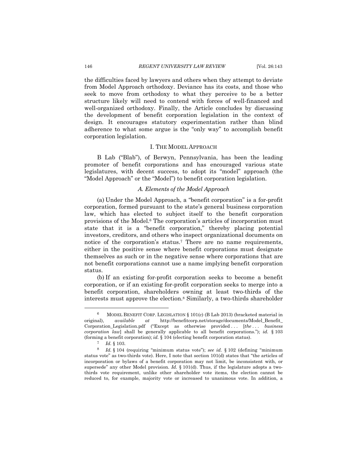the difficulties faced by lawyers and others when they attempt to deviate from Model Approach orthodoxy. Deviance has its costs, and those who seek to move from orthodoxy to what they perceive to be a better structure likely will need to contend with forces of well-financed and well-organized orthodoxy. Finally, the Article concludes by discussing the development of benefit corporation legislation in the context of design. It encourages statutory experimentation rather than blind adherence to what some argue is the "only way" to accomplish benefit corporation legislation.

#### I. THE MODEL APPROACH

B Lab ("Blab"), of Berwyn, Pennsylvania, has been the leading promoter of benefit corporations and has encouraged various state legislatures, with decent success, to adopt its "model" approach (the "Model Approach" or the "Model") to benefit corporation legislation.

#### *A. Elements of the Model Approach*

(a) Under the Model Approach, a "benefit corporation" is a for-profit corporation, formed pursuant to the state's general business corporation law, which has elected to subject itself to the benefit corporation provisions of the Model.6 The corporation's articles of incorporation must state that it is a "benefit corporation," thereby placing potential investors, creditors, and others who inspect organizational documents on notice of the corporation's status.7 There are no name requirements, either in the positive sense where benefit corporations must designate themselves as such or in the negative sense where corporations that are not benefit corporations cannot use a name implying benefit corporation status.

(b) If an existing for-profit corporation seeks to become a benefit corporation, or if an existing for-profit corporation seeks to merge into a benefit corporation, shareholders owning at least two-thirds of the interests must approve the election.8 Similarly, a two-thirds shareholder

<sup>&</sup>lt;sup>6</sup> MODEL BENEFIT CORP. LEGISLATION  $\S$  101(c) (B Lab 2013) (bracketed material in original), *available at* http://benefitcorp.net/storage/documents/Model\_Benefit\_ Corporation\_Legislation.pdf ("Except as otherwise provided . . . [*the . . . business corporation law*] shall be generally applicable to all benefit corporations."); *id.* § 103 (forming a benefit corporation); *id.* § 104 (electing benefit corporation status).

 $\frac{7}{8}$  *Id.* § 103.<br>8 *Id* § 104

<sup>8</sup> *Id.* § 104 (requiring "minimum status vote"); *see id.* § 102 (defining "minimum status vote" as two-thirds vote). Here, I note that section 101(d) states that "the articles of incorporation or bylaws of a benefit corporation may not limit, be inconsistent with, or supersede" any other Model provision. *Id.* § 101(d). Thus, if the legislature adopts a twothirds vote requirement, unlike other shareholder vote items, the election cannot be reduced to, for example, majority vote or increased to unanimous vote. In addition, a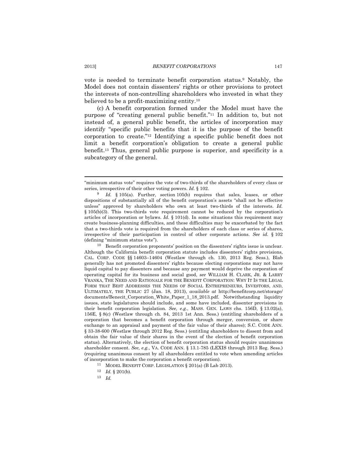vote is needed to terminate benefit corporation status.9 Notably, the Model does not contain dissenters' rights or other provisions to protect the interests of non-controlling shareholders who invested in what they believed to be a profit-maximizing entity.10

(c) A benefit corporation formed under the Model must have the purpose of "creating general public benefit."11 In addition to, but not instead of, a general public benefit, the articles of incorporation may identify "specific public benefits that it is the purpose of the benefit corporation to create."12 Identifying a specific public benefit does not limit a benefit corporation's obligation to create a general public benefit.13 Thus, general public purpose is superior, and specificity is a subcategory of the general.

10 Benefit corporation proponents' position on the dissenters' rights issue is unclear. Although the California benefit corporation statute includes dissenters' rights provisions, CAL. CORP. CODE §§ 14603–14604 (Westlaw through ch. 130, 2013 Reg. Sess.), Blab generally has not promoted dissenters' rights because electing corporations may not have liquid capital to pay dissenters and because any payment would deprive the corporation of operating capital for its business and social good, *see* WILLIAM H. CLARK, JR. & LARRY VRANKA, THE NEED AND RATIONALE FOR THE BENEFIT CORPORATION: WHY IT IS THE LEGAL FORM THAT BEST ADDRESSES THE NEEDS OF SOCIAL ENTREPRENEURS, INVESTORS, AND, ULTIMATELY, THE PUBLIC 27 (Jan. 18, 2013), *available at* http://benefitcorp.net/storage/ documents/Benecit\_Corporation\_White\_Paper\_1\_18\_2013.pdf. Notwithstanding liquidity issues, state legislatures should include, and some have included, dissenter provisions in their benefit corporation legislation. *See, e.g.*, MASS. GEN. LAWS chs. 156D, § 13.02(a), 156E, § 8(c) (Westlaw through ch. 84, 2013 1st Ann. Sess.) (entitling shareholders of a corporation that becomes a benefit corporation through merger, conversion, or share exchange to an appraisal and payment of the fair value of their shares); S.C. CODE ANN. § 33-38-600 (Westlaw through 2012 Reg. Sess.) (entitling shareholders to dissent from and obtain the fair value of their shares in the event of the election of benefit corporation status). Alternatively, the election of benefit corporation status should require unanimous shareholder consent. *See, e.g.*, VA. CODE ANN. § 13.1-785 (LEXIS through 2013 Reg. Sess.) (requiring unanimous consent by all shareholders entitled to vote when amending articles of incorporation to make the corporation a benefit corporation).

11 MODEL BENEFIT CORP. LEGISLATION § 201(a) (B Lab 2013).

13 *Id.*

<sup>&</sup>lt;u> 1989 - Johann Stein, marwolaethau a bhann an t-Amhain an t-Amhain an t-Amhain an t-Amhain an t-Amhain an t-A</u> "minimum status vote" requires the vote of two-thirds of the shareholders of every class or series, irrespective of their other voting powers. *Id.* § 102.

<sup>&</sup>lt;sup>9</sup> *Id.* § 105(a). Further, section 105(b) requires that sales, leases, or other dispositions of substantially all of the benefit corporation's assets "shall not be effective unless" approved by shareholders who own at least two-thirds of the interests. *Id.*  § 105(b)(3). This two-thirds vote requirement cannot be reduced by the corporation's articles of incorporation or bylaws. *Id.* § 101(d). In some situations this requirement may create business-planning difficulties, and these difficulties may be exacerbated by the fact that a two-thirds vote is required from the shareholders of each class or series of shares, irrespective of their participation in control of other corporate actions. *See id.* § 102 (defining "minimum status vote").

<sup>12</sup> *Id.* § 201(b).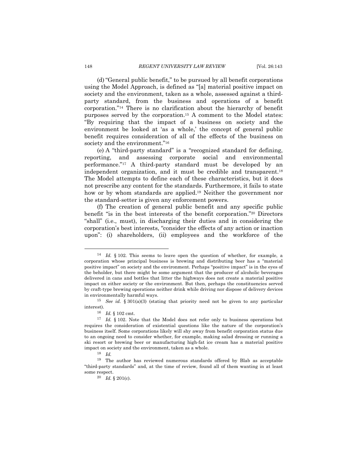(d)"General public benefit," to be pursued by all benefit corporations using the Model Approach, is defined as "[a] material positive impact on society and the environment, taken as a whole, assessed against a thirdparty standard, from the business and operations of a benefit corporation."14 There is no clarification about the hierarchy of benefit purposes served by the corporation.15 A comment to the Model states: "By requiring that the impact of a business on society and the environment be looked at 'as a whole,' the concept of general public benefit requires consideration of all of the effects of the business on society and the environment."<sup>16</sup>

(e) A "third-party standard" is a "recognized standard for defining, reporting, and assessing corporate social and environmental performance."17 A third-party standard must be developed by an independent organization, and it must be credible and transparent.18 The Model attempts to define each of these characteristics, but it does not prescribe any content for the standards. Furthermore, it fails to state how or by whom standards are applied.<sup>19</sup> Neither the government nor the standard-setter is given any enforcement powers.

(f) The creation of general public benefit and any specific public benefit "is in the best interests of the benefit corporation."20 Directors "shall" (i.e., must), in discharging their duties and in considering the corporation's best interests, "consider the effects of any action or inaction upon": (i) shareholders, (ii) employees and the workforce of the

<sup>14</sup> *Id.* § 102. This seems to leave open the question of whether, for example, a corporation whose principal business is brewing and distributing beer has a "material positive impact" on society and the environment. Perhaps "positive impact" is in the eyes of the beholder, but there might be some argument that the producer of alcoholic beverages delivered in cans and bottles that litter the highways does not create a material positive impact on either society or the environment. But then, perhaps the constituencies served by craft-type brewing operations neither drink while driving nor dispose of delivery devices in environmentally harmful ways.

<sup>15</sup> *See id.* § 301(a)(3) (stating that priority need not be given to any particular interest).

<sup>16</sup> *Id.* § 102 cmt.

<sup>&</sup>lt;sup>17</sup> *Id.* § 102. Note that the Model does not refer only to business operations but requires the consideration of existential questions like the nature of the corporation's business itself. Some corporations likely will shy away from benefit corporation status due to an ongoing need to consider whether, for example, making salad dressing or running a ski resort or brewing beer or manufacturing high-fat ice cream has a material positive impact on society and the environment, taken as a whole.

<sup>18</sup> *Id.*

<sup>19</sup> The author has reviewed numerous standards offered by Blab as acceptable "third-party standards" and, at the time of review, found all of them wanting in at least some respect.

<sup>20</sup> *Id.* § 201(c).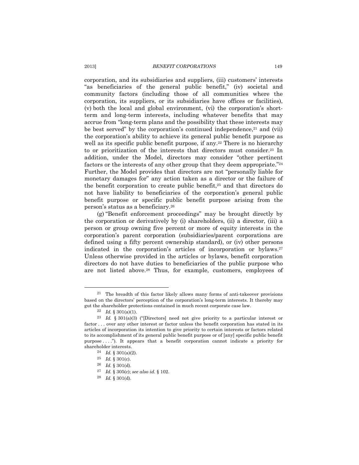corporation, and its subsidiaries and suppliers, (iii) customers' interests "as beneficiaries of the general public benefit," (iv) societal and community factors (including those of all communities where the corporation, its suppliers, or its subsidiaries have offices or facilities), (v) both the local and global environment, (vi) the corporation's shortterm and long-term interests, including whatever benefits that may accrue from "long-term plans and the possibility that these interests may be best served" by the corporation's continued independence, $21$  and (vii) the corporation's ability to achieve its general public benefit purpose as well as its specific public benefit purpose, if any.<sup>22</sup> There is no hierarchy to or prioritization of the interests that directors must consider.23 In addition, under the Model, directors may consider "other pertinent factors or the interests of any other group that they deem appropriate."<sup>24</sup> Further, the Model provides that directors are not "personally liable for monetary damages for" any action taken as a director or the failure of the benefit corporation to create public benefit,25 and that directors do not have liability to beneficiaries of the corporation's general public benefit purpose or specific public benefit purpose arising from the person's status as a beneficiary.26

(g) "Benefit enforcement proceedings" may be brought directly by the corporation or derivatively by (i) shareholders, (ii) a director, (iii) a person or group owning five percent or more of equity interests in the corporation's parent corporation (subsidiaries/parent corporations are defined using a fifty percent ownership standard), or (iv) other persons indicated in the corporation's articles of incorporation or bylaws.27 Unless otherwise provided in the articles or bylaws, benefit corporation directors do not have duties to beneficiaries of the public purpose who are not listed above.28 Thus, for example, customers, employees of

<sup>21</sup> The breadth of this factor likely allows many forms of anti-takeover provisions based on the directors' perception of the corporation's long-term interests. It thereby may gut the shareholder protections contained in much recent corporate case law.

 $22$  *Id.* § 301(a)(1).

<sup>23</sup> *Id.* § 301(a)(3) ("[Directors] need not give priority to a particular interest or factor . . . over any other interest or factor unless the benefit corporation has stated in its articles of incorporation its intention to give priority to certain interests or factors related to its accomplishment of its general public benefit purpose or of [any] specific public benefit purpose . . . ."). It appears that a benefit corporation cannot indicate a priority for shareholder interests.

<sup>24</sup> *Id.* § 301(a)(2).

 $\frac{25}{26}$  *Id.* § 301(c).

 $Id. \S 301(d).$ 

<sup>27</sup> *Id.* § 305(c); *see also id.* § 102.

<sup>28</sup> *Id.* § 301(d).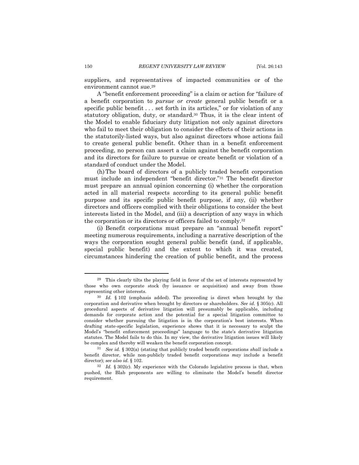suppliers, and representatives of impacted communities or of the environment cannot sue.29

A "benefit enforcement proceeding" is a claim or action for "failure of a benefit corporation to *pursue or create* general public benefit or a specific public benefit . . . set forth in its articles," or for violation of any statutory obligation, duty, or standard.30 Thus, it is the clear intent of the Model to enable fiduciary duty litigation not only against directors who fail to meet their obligation to consider the effects of their actions in the statutorily-listed ways, but also against directors whose actions fail to create general public benefit. Other than in a benefit enforcement proceeding, no person can assert a claim against the benefit corporation and its directors for failure to pursue or create benefit or violation of a standard of conduct under the Model.

(h)The board of directors of a publicly traded benefit corporation must include an independent "benefit director."31 The benefit director must prepare an annual opinion concerning (i) whether the corporation acted in all material respects according to its general public benefit purpose and its specific public benefit purpose, if any, (ii) whether directors and officers complied with their obligations to consider the best interests listed in the Model, and (iii) a description of any ways in which the corporation or its directors or officers failed to comply.32

(i) Benefit corporations must prepare an "annual benefit report" meeting numerous requirements, including a narrative description of the ways the corporation sought general public benefit (and, if applicable, special public benefit) and the extent to which it was created, circumstances hindering the creation of public benefit, and the process

<sup>29</sup> This clearly tilts the playing field in favor of the set of interests represented by those who own corporate stock (by issuance or acquisition) and away from those representing other interests.

<sup>30</sup> *Id.* § 102 (emphasis added). The proceeding is direct when brought by the corporation and derivative when brought by directors or shareholders. *See id.* § 305(c). All procedural aspects of derivative litigation will presumably be applicable, including demands for corporate action and the potential for a special litigation committee to consider whether pursuing the litigation is in the corporation's best interests. When drafting state-specific legislation, experience shows that it is necessary to sculpt the Model's "benefit enforcement proceedings" language to the state's derivative litigation statutes. The Model fails to do this. In my view, the derivative litigation issues will likely be complex and thereby will weaken the benefit corporation concept.

<sup>31</sup> *See id.* § 302(a) (stating that publicly traded benefit corporations *shall* include a benefit director, while non-publicly traded benefit corporations *may* include a benefit director); *see also id.* § 102.

<sup>32</sup> *Id.* § 302(c). My experience with the Colorado legislative process is that, when pushed, the Blab proponents are willing to eliminate the Model's benefit director requirement.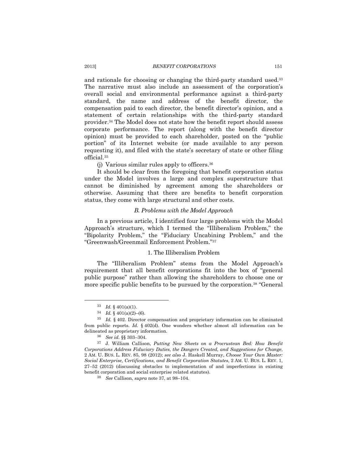and rationale for choosing or changing the third-party standard used.33 The narrative must also include an assessment of the corporation's overall social and environmental performance against a third-party standard, the name and address of the benefit director, the compensation paid to each director, the benefit director's opinion, and a statement of certain relationships with the third-party standard provider.34 The Model does not state how the benefit report should assess corporate performance. The report (along with the benefit director opinion) must be provided to each shareholder, posted on the "public portion" of its Internet website (or made available to any person requesting it), and filed with the state's secretary of state or other filing official.35

(j) Various similar rules apply to officers.36

It should be clear from the foregoing that benefit corporation status under the Model involves a large and complex superstructure that cannot be diminished by agreement among the shareholders or otherwise. Assuming that there are benefits to benefit corporation status, they come with large structural and other costs.

#### *B. Problems with the Model Approach*

In a previous article, I identified four large problems with the Model Approach's structure, which I termed the "Illiberalism Problem," the "Bipolarity Problem," the "Fiduciary Uncabining Problem," and the "Greenwash/Greenmail Enforcement Problem."37

## 1. The Illiberalism Problem

The "Illiberalism Problem" stems from the Model Approach's requirement that all benefit corporations fit into the box of "general public purpose" rather than allowing the shareholders to choose one or more specific public benefits to be pursued by the corporation.38 "General

<sup>33</sup> *Id.* § 401(a)(1).

 $34$  *Id.* § 401(a)(2)–(6).

<sup>35</sup> *Id.* § 402. Director compensation and proprietary information can be eliminated from public reports. *Id.* § 402(d). One wonders whether almost all information can be delineated as proprietary information.

<sup>36</sup> *See id.* §§ 303–304.

<sup>37</sup> J. William Callison, *Putting New Sheets on a Procrustean Bed: How Benefit Corporations Address Fiduciary Duties, the Dangers Created, and Suggestions for Change*, 2 AM. U. BUS. L. REV. 85, 98 (2012); *see also* J. Haskell Murray, *Choose Your Own Master: Social Enterprise, Certifications, and Benefit Corporation Statutes*, 2 AM. U. BUS. L. REV. 1, 27–52 (2012) (discussing obstacles to implementation of and imperfections in existing benefit corporation and social enterprise related statutes).

<sup>38</sup> *See* Callison, *supra* note 37, at 98–104.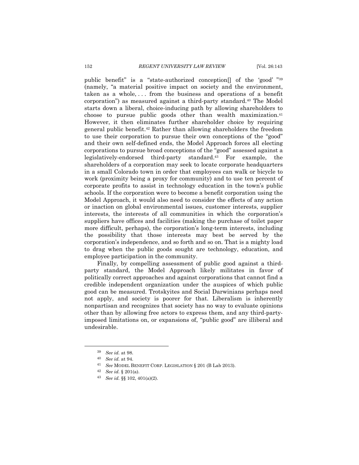public benefit" is a "state-authorized conception[] of the 'good' "39 (namely, "a material positive impact on society and the environment, taken as a whole,  $\dots$  from the business and operations of a benefit corporation") as measured against a third-party standard.40 The Model starts down a liberal, choice-inducing path by allowing shareholders to choose to pursue public goods other than wealth maximization.<sup>41</sup> However, it then eliminates further shareholder choice by requiring general public benefit.42 Rather than allowing shareholders the freedom to use their corporation to pursue their own conceptions of the "good" and their own self-defined ends, the Model Approach forces all electing corporations to pursue broad conceptions of the "good" assessed against a legislatively-endorsed third-party standard.43 For example, the shareholders of a corporation may seek to locate corporate headquarters in a small Colorado town in order that employees can walk or bicycle to work (proximity being a proxy for community) and to use ten percent of corporate profits to assist in technology education in the town's public schools. If the corporation were to become a benefit corporation using the Model Approach, it would also need to consider the effects of any action or inaction on global environmental issues, customer interests, supplier interests, the interests of all communities in which the corporation's suppliers have offices and facilities (making the purchase of toilet paper more difficult, perhaps), the corporation's long-term interests, including the possibility that those interests may best be served by the corporation's independence, and so forth and so on. That is a mighty load to drag when the public goods sought are technology, education, and employee participation in the community.

Finally, by compelling assessment of public good against a thirdparty standard, the Model Approach likely militates in favor of politically correct approaches and against corporations that cannot find a credible independent organization under the auspices of which public good can be measured. Trotskyites and Social Darwinians perhaps need not apply, and society is poorer for that. Liberalism is inherently nonpartisan and recognizes that society has no way to evaluate opinions other than by allowing free actors to express them, and any third-partyimposed limitations on, or expansions of, "public good" are illiberal and undesirable.

<sup>39</sup> *See id.* at 98.

<sup>40</sup> *See id.* at 94.

<sup>41</sup> *See* MODEL BENEFIT CORP. LEGISLATION § 201 (B Lab 2013).

<sup>42</sup> *See id.* § 201(a).

<sup>43</sup> *See id.* §§ 102, 401(a)(2).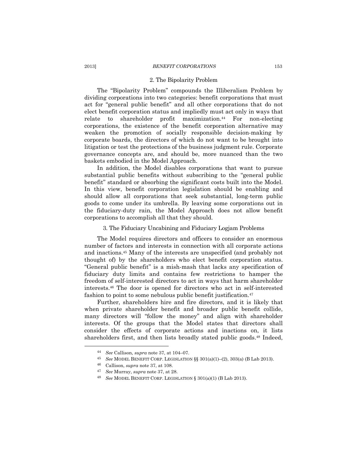#### 2013] *BENEFIT CORPORATIONS* 153

#### 2. The Bipolarity Problem

The "Bipolarity Problem" compounds the Illiberalism Problem by dividing corporations into two categories: benefit corporations that must act for "general public benefit" and all other corporations that do not elect benefit corporation status and impliedly must act only in ways that relate to shareholder profit maximization.<sup>44</sup> For non-electing corporations, the existence of the benefit corporation alternative may weaken the promotion of socially responsible decision-making by corporate boards, the directors of which do not want to be brought into litigation or test the protections of the business judgment rule. Corporate governance concepts are, and should be, more nuanced than the two baskets embodied in the Model Approach.

In addition, the Model disables corporations that want to pursue substantial public benefits without subscribing to the "general public benefit" standard or absorbing the significant costs built into the Model. In this view, benefit corporation legislation should be enabling and should allow all corporations that seek substantial, long-term public goods to come under its umbrella. By leaving some corporations out in the fiduciary-duty rain, the Model Approach does not allow benefit corporations to accomplish all that they should.

#### 3. The Fiduciary Uncabining and Fiduciary Logjam Problems

The Model requires directors and officers to consider an enormous number of factors and interests in connection with all corporate actions and inactions.45 Many of the interests are unspecified (and probably not thought of) by the shareholders who elect benefit corporation status. "General public benefit" is a mish-mash that lacks any specification of fiduciary duty limits and contains few restrictions to hamper the freedom of self-interested directors to act in ways that harm shareholder interests.46 The door is opened for directors who act in self-interested fashion to point to some nebulous public benefit justification.47

Further, shareholders hire and fire directors, and it is likely that when private shareholder benefit and broader public benefit collide, many directors will "follow the money" and align with shareholder interests. Of the groups that the Model states that directors shall consider the effects of corporate actions and inactions on, it lists shareholders first, and then lists broadly stated public goods.48 Indeed,

<sup>44</sup> *See* Callison, *supra* note 37, at 104–07.

<sup>45</sup> *See* MODEL BENEFIT CORP. LEGISLATION §§ 301(a)(1)–(2), 303(a) (B Lab 2013).

<sup>46</sup> Callison, *supra* note 37, at 108.

<sup>47</sup> *See* Murray, *supra* note 37, at 28.

<sup>48</sup> *See* MODEL BENEFIT CORP. LEGISLATION § 301(a)(1) (B Lab 2013).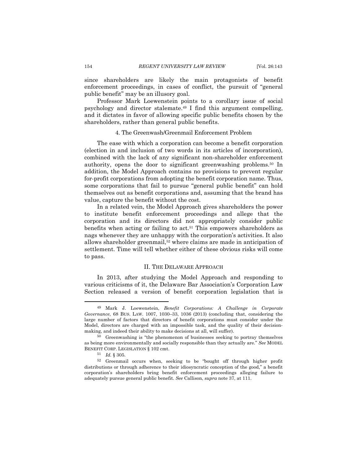since shareholders are likely the main protagonists of benefit enforcement proceedings, in cases of conflict, the pursuit of "general public benefit" may be an illusory goal.

Professor Mark Loewenstein points to a corollary issue of social psychology and director stalemate.49 I find this argument compelling, and it dictates in favor of allowing specific public benefits chosen by the shareholders, rather than general public benefits.

#### 4. The Greenwash/Greenmail Enforcement Problem

The ease with which a corporation can become a benefit corporation (election in and inclusion of two words in its articles of incorporation), combined with the lack of any significant non-shareholder enforcement authority, opens the door to significant greenwashing problems.50 In addition, the Model Approach contains no provisions to prevent regular for-profit corporations from adopting the benefit corporation name. Thus, some corporations that fail to pursue "general public benefit" can hold themselves out as benefit corporations and, assuming that the brand has value, capture the benefit without the cost.

In a related vein, the Model Approach gives shareholders the power to institute benefit enforcement proceedings and allege that the corporation and its directors did not appropriately consider public benefits when acting or failing to  $act<sub>51</sub>$ . This empowers shareholders as nags whenever they are unhappy with the corporation's activities. It also allows shareholder greenmail,<sup>52</sup> where claims are made in anticipation of settlement. Time will tell whether either of these obvious risks will come to pass.

### II. THE DELAWARE APPROACH

In 2013, after studying the Model Approach and responding to various criticisms of it, the Delaware Bar Association's Corporation Law Section released a version of benefit corporation legislation that is

<sup>49</sup> Mark J. Loewenstein, *Benefit Corporations: A Challenge in Corporate Governance*, 68 BUS. LAW. 1007, 1030–33, 1036 (2013) (concluding that, considering the large number of factors that directors of benefit corporations must consider under the Model, directors are charged with an impossible task, and the quality of their decisionmaking, and indeed their ability to make decisions at all, will suffer).

<sup>50</sup> Greenwashing is "the phenomenon of businesses seeking to portray themselves as being more environmentally and socially responsible than they actually are." *See* MODEL BENEFIT CORP. LEGISLATION § 102 cmt.

<sup>51</sup> *Id.* § 305.

<sup>52</sup> Greenmail occurs when, seeking to be "bought off through higher profit distributions or through adherence to their idiosyncratic conception of the good," a benefit corporation's shareholders bring benefit enforcement proceedings alleging failure to adequately pursue general public benefit. *See* Callison, *supra* note 37, at 111.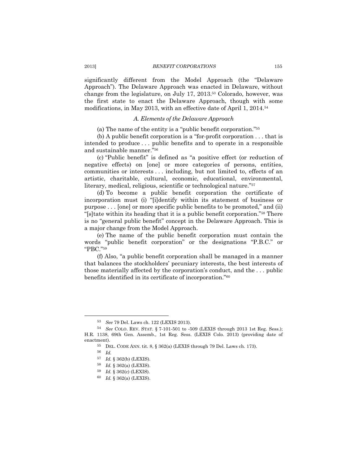significantly different from the Model Approach (the "Delaware Approach"). The Delaware Approach was enacted in Delaware, without change from the legislature, on July 17, 2013.53 Colorado, however, was the first state to enact the Delaware Approach, though with some modifications, in May 2013, with an effective date of April 1, 2014.54

### *A. Elements of the Delaware Approach*

(a) The name of the entity is a "public benefit corporation."55

(b) A public benefit corporation is a "for-profit corporation . . . that is intended to produce . . . public benefits and to operate in a responsible and sustainable manner."56

(c) "Public benefit" is defined as "a positive effect (or reduction of negative effects) on [one] or more categories of persons, entities, communities or interests . . . including, but not limited to, effects of an artistic, charitable, cultural, economic, educational, environmental, literary, medical, religious, scientific or technological nature."57

(d) To become a public benefit corporation the certificate of incorporation must (i) "[i]dentify within its statement of business or purpose . . . [one] or more specific public benefits to be promoted," and (ii) "[s]tate within its heading that it is a public benefit corporation."58 There is no "general public benefit" concept in the Delaware Approach. This is a major change from the Model Approach.

(e) The name of the public benefit corporation must contain the words "public benefit corporation" or the designations "P.B.C." or "PBC."59

(f) Also, "a public benefit corporation shall be managed in a manner that balances the stockholders' pecuniary interests, the best interests of those materially affected by the corporation's conduct, and the . . . public benefits identified in its certificate of incorporation."60

<sup>53</sup> *See* 79 Del. Laws ch. 122 (LEXIS 2013).

<sup>54</sup> *See* COLO. REV. STAT. § 7-101-501 to -509 (LEXIS through 2013 1st Reg. Sess.); H.R. 1138, 69th Gen. Assemb., 1st Reg. Sess. (LEXIS Colo. 2013) (providing date of enactment).

 $^{55}$  DEL. CODE ANN. tit. 8, § 362(a) (LEXIS through 79 Del. Laws ch. 173).

<sup>56</sup> *Id.*

<sup>57</sup> *Id.* § 362(b) (LEXIS).

<sup>58</sup> *Id.* § 362(a) (LEXIS).

<sup>59</sup> *Id.* § 362(c) (LEXIS).

<sup>60</sup> *Id.* § 362(a) (LEXIS).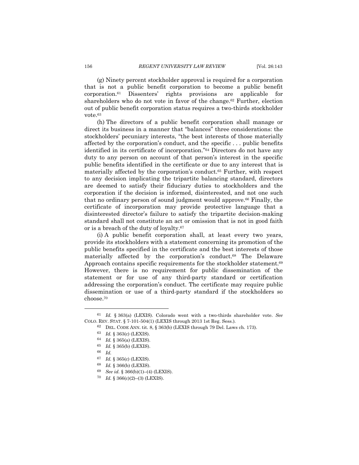(g) Ninety percent stockholder approval is required for a corporation that is not a public benefit corporation to become a public benefit corporation.61 Dissenters' rights provisions are applicable for shareholders who do not vote in favor of the change.<sup>62</sup> Further, election out of public benefit corporation status requires a two-thirds stockholder vote.63

(h) The directors of a public benefit corporation shall manage or direct its business in a manner that "balances" three considerations: the stockholders' pecuniary interests, "the best interests of those materially affected by the corporation's conduct, and the specific . . . public benefits identified in its certificate of incorporation."64 Directors do not have any duty to any person on account of that person's interest in the specific public benefits identified in the certificate or due to any interest that is materially affected by the corporation's conduct.65 Further, with respect to any decision implicating the tripartite balancing standard, directors are deemed to satisfy their fiduciary duties to stockholders and the corporation if the decision is informed, disinterested, and not one such that no ordinary person of sound judgment would approve.66 Finally, the certificate of incorporation may provide protective language that a disinterested director's failure to satisfy the tripartite decision-making standard shall not constitute an act or omission that is not in good faith or is a breach of the duty of loyalty.67

(i) A public benefit corporation shall, at least every two years, provide its stockholders with a statement concerning its promotion of the public benefits specified in the certificate and the best interests of those materially affected by the corporation's conduct.68 The Delaware Approach contains specific requirements for the stockholder statement.<sup>69</sup> However, there is no requirement for public dissemination of the statement or for use of any third-party standard or certification addressing the corporation's conduct. The certificate may require public dissemination or use of a third-party standard if the stockholders so choose.70

66 *Id.*

<sup>61</sup> *Id.* § 363(a) (LEXIS). Colorado went with a two-thirds shareholder vote. *See* COLO. REV. STAT. § 7-101-504(1) (LEXIS through 2013 1st Reg. Sess.)*.*

 $62$  DEL. CODE ANN. tit. 8, § 363(b) (LEXIS through 79 Del. Laws ch. 173).

<sup>63</sup> *Id.* § 363(c) (LEXIS).

<sup>64</sup> *Id.* § 365(a) (LEXIS).

<sup>65</sup> *Id.* § 365(b) (LEXIS).

<sup>67</sup> *Id.* § 365(c) (LEXIS).

<sup>68</sup> *Id.* § 366(b) (LEXIS).

<sup>69</sup> *See id.* § 366(b)(1)–(4) (LEXIS).

<sup>70</sup> *Id.* § 366(c)(2)–(3) (LEXIS).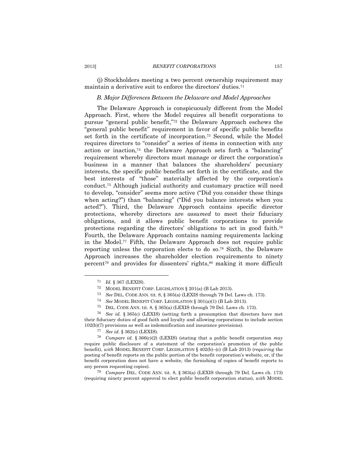#### 2013] *BENEFIT CORPORATIONS* 157

(j) Stockholders meeting a two percent ownership requirement may maintain a derivative suit to enforce the directors' duties.71

# *B. Major Differences Between the Delaware and Model Approaches*

The Delaware Approach is conspicuously different from the Model Approach. First, where the Model requires all benefit corporations to pursue "general public benefit,"72 the Delaware Approach eschews the "general public benefit" requirement in favor of specific public benefits set forth in the certificate of incorporation.73 Second, while the Model requires directors to "consider" a series of items in connection with any action or inaction,74 the Delaware Approach sets forth a "balancing" requirement whereby directors must manage or direct the corporation's business in a manner that balances the shareholders' pecuniary interests, the specific public benefits set forth in the certificate, and the best interests of "those" materially affected by the corporation's conduct.75 Although judicial authority and customary practice will need to develop, "consider" seems more active ("Did you consider these things when acting?") than "balancing" ("Did you balance interests when you acted?"). Third, the Delaware Approach contains specific director protections, whereby directors are *assumed* to meet their fiduciary obligations, and it allows public benefit corporations to provide protections regarding the directors' obligations to act in good faith.76 Fourth, the Delaware Approach contains naming requirements lacking in the Model.77 Fifth, the Delaware Approach does not require public reporting unless the corporation elects to do so.78 Sixth, the Delaware Approach increases the shareholder election requirements to ninety percent79 and provides for dissenters' rights,80 making it more difficult

79 *Compare* DEL. CODE ANN. tit. 8, § 363(a) (LEXIS through 79 Del. Laws ch. 173) (requiring ninety percent approval to elect public benefit corporation status), *with* MODEL

<sup>71</sup> *Id.* § 367 (LEXIS).

<sup>72</sup> MODEL BENEFIT CORP. LEGISLATION § 201(a) (B Lab 2013).

<sup>73</sup> *See* DEL. CODE ANN. tit. 8, § 365(a) (LEXIS through 79 Del. Laws ch. 173).

<sup>74</sup> *See* MODEL BENEFIT CORP. LEGISLATION § 301(a)(1) (B Lab 2013).

<sup>75</sup> DEL. CODE ANN. tit. 8, § 365(a) (LEXIS through 79 Del. Laws ch. 173).

<sup>76</sup> *See id.* § 365(c) (LEXIS) (setting forth a presumption that directors have met their fiduciary duties of good faith and loyalty and allowing corporations to include section 102(b)(7) provisions as well as indemnification and insurance provisions).

<sup>77</sup> *See id.* § 362(c) (LEXIS).

<sup>78</sup> *Compare id.* § 366(c)(2) (LEXIS) (stating that a public benefit corporation *may* require public disclosure of a statement of the corporation's promotion of the public benefit), *with* MODEL BENEFIT CORP. LEGISLATION § 402(b)–(c) (B Lab 2013) (*requiring* the posting of benefit reports on the public portion of the benefit corporation's website, or, if the benefit corporation does not have a website, the furnishing of copies of benefit reports to any person requesting copies).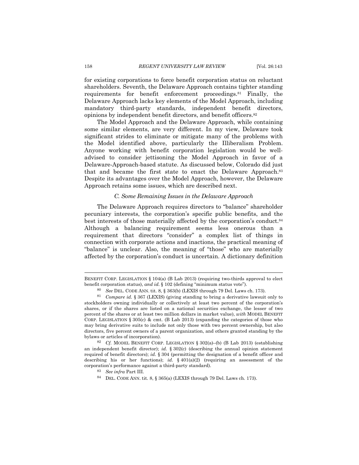for existing corporations to force benefit corporation status on reluctant shareholders. Seventh, the Delaware Approach contains tighter standing requirements for benefit enforcement proceedings.81 Finally, the Delaware Approach lacks key elements of the Model Approach, including mandatory third-party standards, independent benefit directors, opinions by independent benefit directors, and benefit officers.82

The Model Approach and the Delaware Approach, while containing some similar elements, are very different. In my view, Delaware took significant strides to eliminate or mitigate many of the problems with the Model identified above, particularly the Illiberalism Problem. Anyone working with benefit corporation legislation would be welladvised to consider jettisoning the Model Approach in favor of a Delaware-Approach-based statute. As discussed below, Colorado did just that and became the first state to enact the Delaware Approach.<sup>83</sup> Despite its advantages over the Model Approach, however, the Delaware Approach retains some issues, which are described next.

#### *C. Some Remaining Issues in the Delaware Approach*

The Delaware Approach requires directors to "balance" shareholder pecuniary interests, the corporation's specific public benefits, and the best interests of those materially affected by the corporation's conduct.84 Although a balancing requirement seems less onerous than a requirement that directors "consider" a complex list of things in connection with corporate actions and inactions, the practical meaning of "balance" is unclear. Also, the meaning of "those" who are materially affected by the corporation's conduct is uncertain. A dictionary definition

84 DEL. CODE ANN. tit. 8, § 365(a) (LEXIS through 79 Del. Laws ch. 173).

<sup>&</sup>lt;u> 1989 - Johann Barn, mars ann an t-Amhain ann an t-Amhain an t-Amhain an t-Amhain an t-Amhain an t-Amhain an t-</u> BENEFIT CORP. LEGISLATION § 104(a) (B Lab 2013) (requiring two-thirds approval to elect benefit corporation status), *and id.* § 102 (defining "minimum status vote").

<sup>80</sup> *See* DEL. CODE ANN. tit. 8, § 363(b) (LEXIS through 79 Del. Laws ch. 173).

<sup>81</sup> *Compare id.* § 367 (LEXIS) (giving standing to bring a derivative lawsuit only to stockholders owning individually or collectively at least two percent of the corporation's shares, or if the shares are listed on a national securities exchange, the lesser of two percent of the shares or at least two million dollars in market value), *with* MODEL BENEFIT CORP. LEGISLATION § 305(c) & cmt. (B Lab 2013) (expanding the categories of those who may bring derivative suits to include not only those with two percent ownership, but also directors, five percent owners of a parent organization, and others granted standing by the bylaws or articles of incorporation).

<sup>82</sup> *Cf.* MODEL BENEFIT CORP. LEGISLATION § 302(a)–(b) (B Lab 2013) (establishing an independent benefit director); *id.* § 302(c) (describing the annual opinion statement required of benefit directors); *id.* § 304 (permitting the designation of a benefit officer and describing his or her functions); *id.* § 401(a)(2) (requiring an assessment of the corporation's performance against a third-party standard).

<sup>83</sup> *See infra* Part III.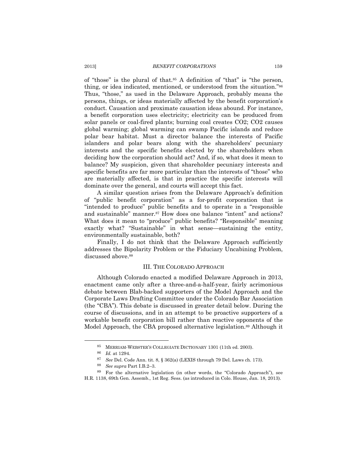of "those" is the plural of that.<sup>85</sup> A definition of "that" is "the person, thing, or idea indicated, mentioned, or understood from the situation."86 Thus, "those," as used in the Delaware Approach, probably means the persons, things, or ideas materially affected by the benefit corporation's conduct. Causation and proximate causation ideas abound. For instance, a benefit corporation uses electricity; electricity can be produced from solar panels or coal-fired plants; burning coal creates CO2; CO2 causes global warming; global warming can swamp Pacific islands and reduce polar bear habitat. Must a director balance the interests of Pacific islanders and polar bears along with the shareholders' pecuniary interests and the specific benefits elected by the shareholders when deciding how the corporation should act? And, if so, what does it mean to balance? My suspicion, given that shareholder pecuniary interests and specific benefits are far more particular than the interests of "those" who are materially affected, is that in practice the specific interests will dominate over the general, and courts will accept this fact.

A similar question arises from the Delaware Approach's definition of "public benefit corporation" as a for-profit corporation that is "intended to produce" public benefits and to operate in a "responsible and sustainable" manner.<sup>87</sup> How does one balance "intent" and actions? What does it mean to "produce" public benefits? "Responsible" meaning exactly what? "Sustainable" in what sense—sustaining the entity, environmentally sustainable, both?

Finally, I do not think that the Delaware Approach sufficiently addresses the Bipolarity Problem or the Fiduciary Uncabining Problem, discussed above.<sup>88</sup>

#### III. THE COLORADO APPROACH

Although Colorado enacted a modified Delaware Approach in 2013, enactment came only after a three-and-a-half-year, fairly acrimonious debate between Blab-backed supporters of the Model Approach and the Corporate Laws Drafting Committee under the Colorado Bar Association (the "CBA"). This debate is discussed in greater detail below. During the course of discussions, and in an attempt to be proactive supporters of a workable benefit corporation bill rather than reactive opponents of the Model Approach, the CBA proposed alternative legislation.89 Although it

<sup>85</sup> MERRIAM-WEBSTER'S COLLEGIATE DICTIONARY 1301 (11th ed. 2003).

<sup>86</sup> *Id.* at 1294.

<sup>87</sup> *See* Del. Code Ann. tit. 8, § 362(a) (LEXIS through 79 Del. Laws ch. 173).

<sup>88</sup> *See supra* Part I.B.2–3.

<sup>89</sup> For the alternative legislation (in other words, the "Colorado Approach"), see H.R. 1138, 69th Gen. Assemb., 1st Reg. Sess. (as introduced in Colo. House, Jan. 18, 2013).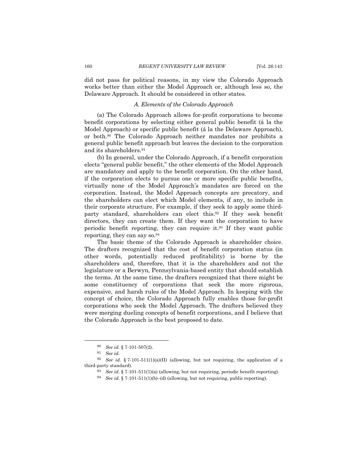did not pass for political reasons, in my view the Colorado Approach works better than either the Model Approach or, although less so, the Delaware Approach. It should be considered in other states.

### *A. Elements of the Colorado Approach*

(a) The Colorado Approach allows for-profit corporations to become benefit corporations by selecting either general public benefit (á la the Model Approach) or specific public benefit (á la the Delaware Approach), or both.90 The Colorado Approach neither mandates nor prohibits a general public benefit approach but leaves the decision to the corporation and its shareholders.91

(b) In general, under the Colorado Approach, if a benefit corporation elects "general public benefit," the other elements of the Model Approach are mandatory and apply to the benefit corporation. On the other hand, if the corporation elects to pursue one or more specific public benefits, virtually none of the Model Approach's mandates are forced on the corporation. Instead, the Model Approach concepts are precatory, and the shareholders can elect which Model elements, if any, to include in their corporate structure. For example, if they seek to apply some thirdparty standard, shareholders can elect this.92 If they seek benefit directors, they can create them. If they want the corporation to have periodic benefit reporting, they can require it.93 If they want public reporting, they can say so.94

The basic theme of the Colorado Approach is shareholder choice. The drafters recognized that the cost of benefit corporation status (in other words, potentially reduced profitability) is borne by the shareholders and, therefore, that it is the shareholders and not the legislature or a Berwyn, Pennsylvania-based entity that should establish the terms. At the same time, the drafters recognized that there might be some constituency of corporations that seek the more rigorous, expensive, and harsh rules of the Model Approach. In keeping with the concept of choice, the Colorado Approach fully enables those for-profit corporations who seek the Model Approach. The drafters believed they were merging dueling concepts of benefit corporations, and I believe that the Colorado Approach is the best proposed to date.

 90 *See id.* § 7-101-507(2).

<sup>91</sup> *See id.*

<sup>&</sup>lt;sup>92</sup> *See id.* § 7-101-511(1)(a)(II) (allowing, but not requiring, the application of a third-party standard).

<sup>93</sup> *See id.* § 7-101-511(1)(a) (allowing, but not requiring, periodic benefit reporting).

<sup>94</sup> *See id.* § 7-101-511(1)(b)–(d) (allowing, but not requiring, public reporting).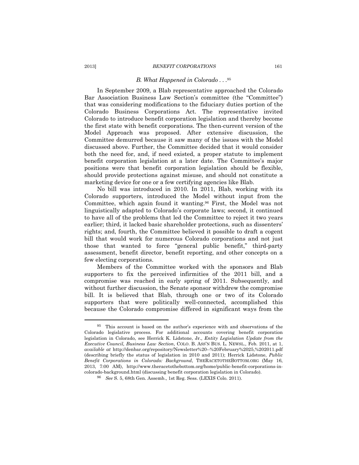#### 2013] *BENEFIT CORPORATIONS* 161

#### *B. What Happened in Colorado . . .*<sup>95</sup>

In September 2009, a Blab representative approached the Colorado Bar Association Business Law Section's committee (the "Committee") that was considering modifications to the fiduciary duties portion of the Colorado Business Corporations Act. The representative invited Colorado to introduce benefit corporation legislation and thereby become the first state with benefit corporations. The then-current version of the Model Approach was proposed. After extensive discussion, the Committee demurred because it saw many of the issues with the Model discussed above. Further, the Committee decided that it would consider both the need for, and, if need existed, a proper statute to implement benefit corporation legislation at a later date. The Committee's major positions were that benefit corporation legislation should be flexible, should provide protections against misuse, and should not constitute a marketing device for one or a few certifying agencies like Blab.

No bill was introduced in 2010. In 2011, Blab, working with its Colorado supporters, introduced the Model without input from the Committee, which again found it wanting.96 First, the Model was not linguistically adapted to Colorado's corporate laws; second, it continued to have all of the problems that led the Committee to reject it two years earlier; third, it lacked basic shareholder protections, such as dissenters' rights; and, fourth, the Committee believed it possible to draft a cogent bill that would work for numerous Colorado corporations and not just those that wanted to force "general public benefit," third-party assessment, benefit director, benefit reporting, and other concepts on a few electing corporations.

Members of the Committee worked with the sponsors and Blab supporters to fix the perceived infirmities of the 2011 bill, and a compromise was reached in early spring of 2011. Subsequently, and without further discussion, the Senate sponsor withdrew the compromise bill. It is believed that Blab, through one or two of its Colorado supporters that were politically well-connected, accomplished this because the Colorado compromise differed in significant ways from the

<sup>95</sup> This account is based on the author's experience with and observations of the Colorado legislative process. For additional accounts covering benefit corporation legislation in Colorado, see Herrick K. Lidstone, Jr., *Entity Legislation Update from the Executive Council, Business Law Section*, COLO. B. ASS'N BUS. L. NEWSL., Feb. 2011, at 1, *available at* http://denbar.org/repository/Newsletter%20--%20February%2025,%202011.pdf (describing briefly the status of legislation in 2010 and 2011); Herrick Lidstone, *Public Benefit Corporations in Colorado: Background*, THERACETOTHEBOTTOM.ORG (May 16, 2013, 7:00 AM), http://www.theracetothebottom.org/home/public-benefit-corporations-incolorado-background.html (discussing benefit corporation legislation in Colorado).

<sup>96</sup> *See* S. 5, 68th Gen. Assemb., 1st Reg. Sess. (LEXIS Colo. 2011).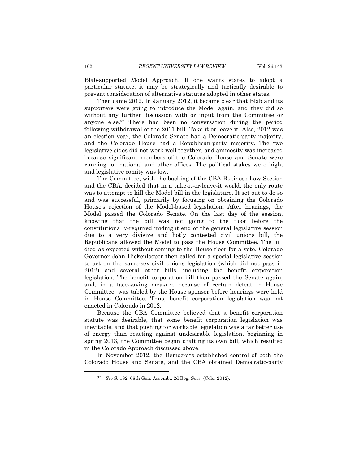Blab-supported Model Approach. If one wants states to adopt a particular statute, it may be strategically and tactically desirable to prevent consideration of alternative statutes adopted in other states.

Then came 2012. In January 2012, it became clear that Blab and its supporters were going to introduce the Model again, and they did so without any further discussion with or input from the Committee or anyone else.97 There had been no conversation during the period following withdrawal of the 2011 bill. Take it or leave it. Also, 2012 was an election year, the Colorado Senate had a Democratic-party majority, and the Colorado House had a Republican-party majority. The two legislative sides did not work well together, and animosity was increased because significant members of the Colorado House and Senate were running for national and other offices. The political stakes were high, and legislative comity was low.

The Committee, with the backing of the CBA Business Law Section and the CBA, decided that in a take-it-or-leave-it world, the only route was to attempt to kill the Model bill in the legislature. It set out to do so and was successful, primarily by focusing on obtaining the Colorado House's rejection of the Model-based legislation. After hearings, the Model passed the Colorado Senate. On the last day of the session, knowing that the bill was not going to the floor before the constitutionally-required midnight end of the general legislative session due to a very divisive and hotly contested civil unions bill, the Republicans allowed the Model to pass the House Committee. The bill died as expected without coming to the House floor for a vote. Colorado Governor John Hickenlooper then called for a special legislative session to act on the same-sex civil unions legislation (which did not pass in 2012) and several other bills, including the benefit corporation legislation. The benefit corporation bill then passed the Senate again, and, in a face-saving measure because of certain defeat in House Committee, was tabled by the House sponsor before hearings were held in House Committee. Thus, benefit corporation legislation was not enacted in Colorado in 2012.

Because the CBA Committee believed that a benefit corporation statute was desirable, that some benefit corporation legislation was inevitable, and that pushing for workable legislation was a far better use of energy than reacting against undesirable legislation, beginning in spring 2013, the Committee began drafting its own bill, which resulted in the Colorado Approach discussed above.

In November 2012, the Democrats established control of both the Colorado House and Senate, and the CBA obtained Democratic-party

<sup>97</sup> *See* S. 182, 68th Gen. Assemb., 2d Reg. Sess. (Colo. 2012).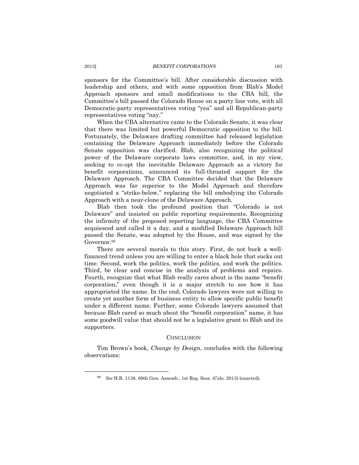sponsors for the Committee's bill. After considerable discussion with leadership and others, and with some opposition from Blab's Model Approach sponsors and small modifications to the CBA bill, the Committee's bill passed the Colorado House on a party line vote, with all Democratic-party representatives voting "yea" and all Republican-party representatives voting "nay."

When the CBA alternative came to the Colorado Senate, it was clear that there was limited but powerful Democratic opposition to the bill. Fortunately, the Delaware drafting committee had released legislation containing the Delaware Approach immediately before the Colorado Senate opposition was clarified. Blab, also recognizing the political power of the Delaware corporate laws committee, and, in my view, seeking to co-opt the inevitable Delaware Approach as a victory for benefit corporations, announced its full-throated support for the Delaware Approach. The CBA Committee decided that the Delaware Approach was far superior to the Model Approach and therefore negotiated a "strike-below," replacing the bill embodying the Colorado Approach with a near-clone of the Delaware Approach.

Blab then took the profound position that "Colorado is not Delaware" and insisted on public reporting requirements. Recognizing the infirmity of the proposed reporting language, the CBA Committee acquiesced and called it a day, and a modified Delaware Approach bill passed the Senate, was adopted by the House, and was signed by the Governor.98

There are several morals to this story. First, do not buck a wellfinanced trend unless you are willing to enter a black hole that sucks out time. Second, work the politics, work the politics, and work the politics. Third, be clear and concise in the analysis of problems and repairs. Fourth, recognize that what Blab really cares about is the name "benefit corporation," even though it is a major stretch to see how it has appropriated the name. In the end, Colorado lawyers were not willing to create yet another form of business entity to allow specific public benefit under a different name. Further, some Colorado lawyers assumed that because Blab cared so much about the "benefit corporation" name, it has some goodwill value that should not be a legislative grant to Blab and its supporters.

#### **CONCLUSION**

Tim Brown's book, *Change by Design*, concludes with the following observations:

<sup>98</sup> *See* H.R. 1138, 69th Gen. Assemb., 1st Reg. Sess. (Colo. 2013) (enacted).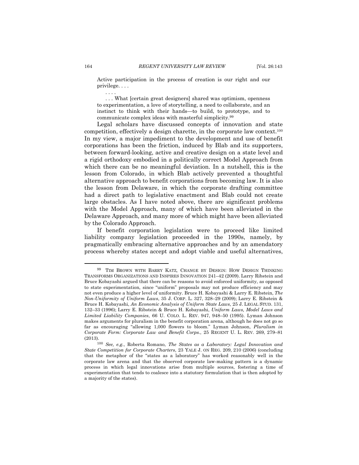Active participation in the process of creation is our right and our privilege. . . .

. . . What [certain great designers] shared was optimism, openness to experimentation, a love of storytelling, a need to collaborate, and an instinct to think with their hands—to build, to prototype, and to communicate complex ideas with masterful simplicity.99

Legal scholars have discussed concepts of innovation and state competition, effectively a design charette, in the corporate law context.100 In my view, a major impediment to the development and use of benefit corporations has been the friction, induced by Blab and its supporters, between forward-looking, active and creative design on a state level and a rigid orthodoxy embodied in a politically correct Model Approach from which there can be no meaningful deviation. In a nutshell, this is the lesson from Colorado, in which Blab actively prevented a thoughtful alternative approach to benefit corporations from becoming law. It is also the lesson from Delaware, in which the corporate drafting committee had a direct path to legislative enactment and Blab could not create large obstacles. As I have noted above, there are significant problems with the Model Approach, many of which have been alleviated in the Delaware Approach, and many more of which might have been alleviated by the Colorado Approach.

If benefit corporation legislation were to proceed like limited liability company legislation proceeded in the 1990s, namely, by pragmatically embracing alternative approaches and by an amendatory process whereby states accept and adopt viable and useful alternatives,

. . . .

<sup>99</sup> TIM BROWN WITH BARRY KATZ*,* CHANGE BY DESIGN: HOW DESIGN THINKING TRANSFORMS ORGANIZATIONS AND INSPIRES INNOVATION 241–42 (2009). Larry Ribstein and Bruce Kobayashi argued that there can be reasons to avoid enforced uniformity, as opposed to state experimentation, since "uniform" proposals may not produce efficiency and may not even produce a higher level of uniformity. Bruce H. Kobayashi & Larry E. Ribstein, *The Non*-*Uniformity of Uniform Laws*, 35 J. CORP. L. 327, 328–29 (2009); Larry E. Ribstein & Bruce H. Kobayashi, *An Economic Analysis of Uniform State Laws*, 25 J. LEGAL STUD. 131, 132–33 (1996); Larry E. Ribstein & Bruce H. Kobayashi, *Uniform Laws, Model Laws and Limited Liability Companies*, 66 U. COLO. L. REV. 947, 948–50 (1995). Lyman Johnson makes arguments for pluralism in the benefit corporation arena, although he does not go so far as encouraging "allowing 1,000 flowers to bloom." Lyman Johnson, *Pluralism in Corporate Form: Corporate Law and Benefit Corps.*, 25 REGENT U. L. REV. 269, 279–81 (2013).

<sup>100</sup> *See, e.g.*, Roberta Romano, *The States as a Laboratory: Legal Innovation and State Competition for Corporate Charters*, 23 YALE J. ON REG. 209, 210 (2006) (concluding that the metaphor of the "states as a laboratory" has worked reasonably well in the corporate law arena and that the observed corporate law-making pattern is a dynamic process in which legal innovations arise from multiple sources, fostering a time of experimentation that tends to coalesce into a statutory formulation that is then adopted by a majority of the states).